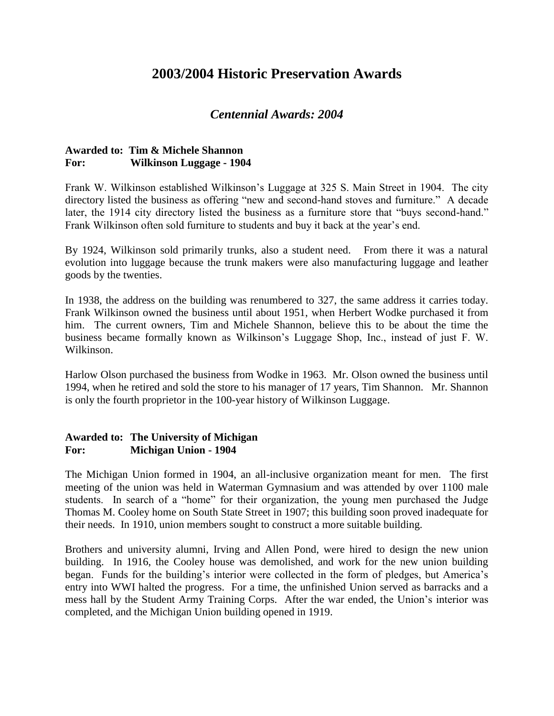# **2003/2004 Historic Preservation Awards**

# *Centennial Awards: 2004*

## **Awarded to: Tim & Michele Shannon For: Wilkinson Luggage - 1904**

Frank W. Wilkinson established Wilkinson's Luggage at 325 S. Main Street in 1904. The city directory listed the business as offering "new and second-hand stoves and furniture." A decade later, the 1914 city directory listed the business as a furniture store that "buys second-hand." Frank Wilkinson often sold furniture to students and buy it back at the year's end.

By 1924, Wilkinson sold primarily trunks, also a student need. From there it was a natural evolution into luggage because the trunk makers were also manufacturing luggage and leather goods by the twenties.

In 1938, the address on the building was renumbered to 327, the same address it carries today. Frank Wilkinson owned the business until about 1951, when Herbert Wodke purchased it from him. The current owners, Tim and Michele Shannon, believe this to be about the time the business became formally known as Wilkinson's Luggage Shop, Inc., instead of just F. W. Wilkinson.

Harlow Olson purchased the business from Wodke in 1963. Mr. Olson owned the business until 1994, when he retired and sold the store to his manager of 17 years, Tim Shannon. Mr. Shannon is only the fourth proprietor in the 100-year history of Wilkinson Luggage.

### **Awarded to: The University of Michigan For: Michigan Union - 1904**

The Michigan Union formed in 1904, an all-inclusive organization meant for men. The first meeting of the union was held in Waterman Gymnasium and was attended by over 1100 male students. In search of a "home" for their organization, the young men purchased the Judge Thomas M. Cooley home on South State Street in 1907; this building soon proved inadequate for their needs. In 1910, union members sought to construct a more suitable building.

Brothers and university alumni, Irving and Allen Pond, were hired to design the new union building. In 1916, the Cooley house was demolished, and work for the new union building began. Funds for the building's interior were collected in the form of pledges, but America's entry into WWI halted the progress. For a time, the unfinished Union served as barracks and a mess hall by the Student Army Training Corps. After the war ended, the Union's interior was completed, and the Michigan Union building opened in 1919.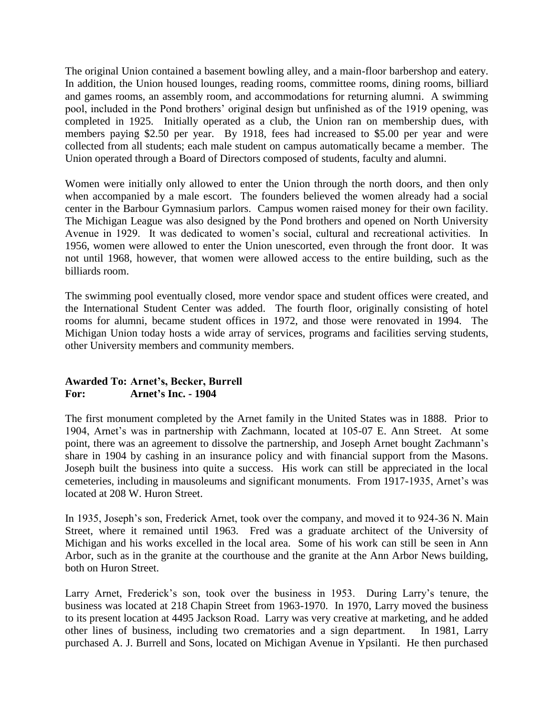The original Union contained a basement bowling alley, and a main-floor barbershop and eatery. In addition, the Union housed lounges, reading rooms, committee rooms, dining rooms, billiard and games rooms, an assembly room, and accommodations for returning alumni. A swimming pool, included in the Pond brothers' original design but unfinished as of the 1919 opening, was completed in 1925. Initially operated as a club, the Union ran on membership dues, with members paying \$2.50 per year. By 1918, fees had increased to \$5.00 per year and were collected from all students; each male student on campus automatically became a member. The Union operated through a Board of Directors composed of students, faculty and alumni.

Women were initially only allowed to enter the Union through the north doors, and then only when accompanied by a male escort. The founders believed the women already had a social center in the Barbour Gymnasium parlors. Campus women raised money for their own facility. The Michigan League was also designed by the Pond brothers and opened on North University Avenue in 1929. It was dedicated to women's social, cultural and recreational activities. In 1956, women were allowed to enter the Union unescorted, even through the front door. It was not until 1968, however, that women were allowed access to the entire building, such as the billiards room.

The swimming pool eventually closed, more vendor space and student offices were created, and the International Student Center was added. The fourth floor, originally consisting of hotel rooms for alumni, became student offices in 1972, and those were renovated in 1994. The Michigan Union today hosts a wide array of services, programs and facilities serving students, other University members and community members.

### **Awarded To: Arnet's, Becker, Burrell For: Arnet's Inc. - 1904**

The first monument completed by the Arnet family in the United States was in 1888. Prior to 1904, Arnet's was in partnership with Zachmann, located at 105-07 E. Ann Street. At some point, there was an agreement to dissolve the partnership, and Joseph Arnet bought Zachmann's share in 1904 by cashing in an insurance policy and with financial support from the Masons. Joseph built the business into quite a success. His work can still be appreciated in the local cemeteries, including in mausoleums and significant monuments. From 1917-1935, Arnet's was located at 208 W. Huron Street.

In 1935, Joseph's son, Frederick Arnet, took over the company, and moved it to 924-36 N. Main Street, where it remained until 1963. Fred was a graduate architect of the University of Michigan and his works excelled in the local area. Some of his work can still be seen in Ann Arbor, such as in the granite at the courthouse and the granite at the Ann Arbor News building, both on Huron Street.

Larry Arnet, Frederick's son, took over the business in 1953. During Larry's tenure, the business was located at 218 Chapin Street from 1963-1970. In 1970, Larry moved the business to its present location at 4495 Jackson Road. Larry was very creative at marketing, and he added other lines of business, including two crematories and a sign department. In 1981, Larry purchased A. J. Burrell and Sons, located on Michigan Avenue in Ypsilanti. He then purchased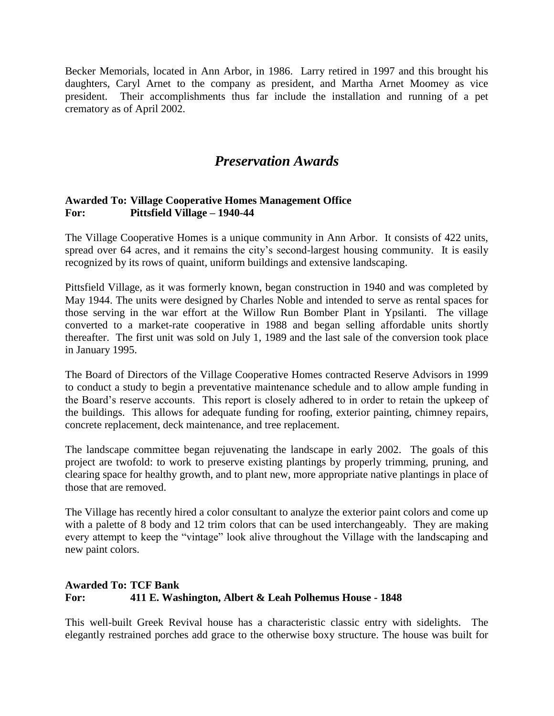Becker Memorials, located in Ann Arbor, in 1986. Larry retired in 1997 and this brought his daughters, Caryl Arnet to the company as president, and Martha Arnet Moomey as vice president. Their accomplishments thus far include the installation and running of a pet crematory as of April 2002.

# *Preservation Awards*

### **Awarded To: Village Cooperative Homes Management Office For: Pittsfield Village – 1940-44**

The Village Cooperative Homes is a unique community in Ann Arbor. It consists of 422 units, spread over 64 acres, and it remains the city's second-largest housing community. It is easily recognized by its rows of quaint, uniform buildings and extensive landscaping.

Pittsfield Village, as it was formerly known, began construction in 1940 and was completed by May 1944. The units were designed by Charles Noble and intended to serve as rental spaces for those serving in the war effort at the Willow Run Bomber Plant in Ypsilanti. The village converted to a market-rate cooperative in 1988 and began selling affordable units shortly thereafter. The first unit was sold on July 1, 1989 and the last sale of the conversion took place in January 1995.

The Board of Directors of the Village Cooperative Homes contracted Reserve Advisors in 1999 to conduct a study to begin a preventative maintenance schedule and to allow ample funding in the Board's reserve accounts. This report is closely adhered to in order to retain the upkeep of the buildings. This allows for adequate funding for roofing, exterior painting, chimney repairs, concrete replacement, deck maintenance, and tree replacement.

The landscape committee began rejuvenating the landscape in early 2002. The goals of this project are twofold: to work to preserve existing plantings by properly trimming, pruning, and clearing space for healthy growth, and to plant new, more appropriate native plantings in place of those that are removed.

The Village has recently hired a color consultant to analyze the exterior paint colors and come up with a palette of 8 body and 12 trim colors that can be used interchangeably. They are making every attempt to keep the "vintage" look alive throughout the Village with the landscaping and new paint colors.

# **Awarded To: TCF Bank For: 411 E. Washington, Albert & Leah Polhemus House - 1848**

This well-built Greek Revival house has a characteristic classic entry with sidelights. The elegantly restrained porches add grace to the otherwise boxy structure. The house was built for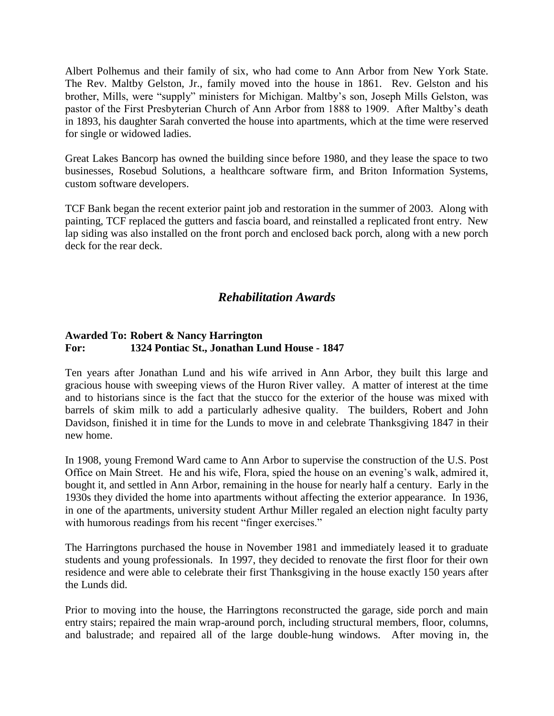Albert Polhemus and their family of six, who had come to Ann Arbor from New York State. The Rev. Maltby Gelston, Jr., family moved into the house in 1861. Rev. Gelston and his brother, Mills, were "supply" ministers for Michigan. Maltby's son, Joseph Mills Gelston, was pastor of the First Presbyterian Church of Ann Arbor from 1888 to 1909. After Maltby's death in 1893, his daughter Sarah converted the house into apartments, which at the time were reserved for single or widowed ladies.

Great Lakes Bancorp has owned the building since before 1980, and they lease the space to two businesses, Rosebud Solutions, a healthcare software firm, and Briton Information Systems, custom software developers.

TCF Bank began the recent exterior paint job and restoration in the summer of 2003. Along with painting, TCF replaced the gutters and fascia board, and reinstalled a replicated front entry. New lap siding was also installed on the front porch and enclosed back porch, along with a new porch deck for the rear deck.

# *Rehabilitation Awards*

### **Awarded To: Robert & Nancy Harrington For: 1324 Pontiac St., Jonathan Lund House - 1847**

Ten years after Jonathan Lund and his wife arrived in Ann Arbor, they built this large and gracious house with sweeping views of the Huron River valley. A matter of interest at the time and to historians since is the fact that the stucco for the exterior of the house was mixed with barrels of skim milk to add a particularly adhesive quality. The builders, Robert and John Davidson, finished it in time for the Lunds to move in and celebrate Thanksgiving 1847 in their new home.

In 1908, young Fremond Ward came to Ann Arbor to supervise the construction of the U.S. Post Office on Main Street. He and his wife, Flora, spied the house on an evening's walk, admired it, bought it, and settled in Ann Arbor, remaining in the house for nearly half a century. Early in the 1930s they divided the home into apartments without affecting the exterior appearance. In 1936, in one of the apartments, university student Arthur Miller regaled an election night faculty party with humorous readings from his recent "finger exercises."

The Harringtons purchased the house in November 1981 and immediately leased it to graduate students and young professionals. In 1997, they decided to renovate the first floor for their own residence and were able to celebrate their first Thanksgiving in the house exactly 150 years after the Lunds did.

Prior to moving into the house, the Harringtons reconstructed the garage, side porch and main entry stairs; repaired the main wrap-around porch, including structural members, floor, columns, and balustrade; and repaired all of the large double-hung windows. After moving in, the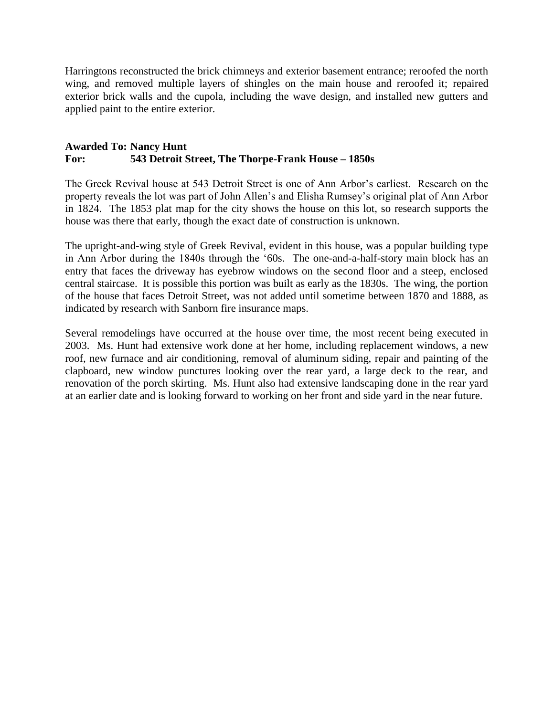Harringtons reconstructed the brick chimneys and exterior basement entrance; reroofed the north wing, and removed multiple layers of shingles on the main house and reroofed it; repaired exterior brick walls and the cupola, including the wave design, and installed new gutters and applied paint to the entire exterior.

#### **Awarded To: Nancy Hunt For: 543 Detroit Street, The Thorpe-Frank House – 1850s**

The Greek Revival house at 543 Detroit Street is one of Ann Arbor's earliest. Research on the property reveals the lot was part of John Allen's and Elisha Rumsey's original plat of Ann Arbor in 1824. The 1853 plat map for the city shows the house on this lot, so research supports the house was there that early, though the exact date of construction is unknown.

The upright-and-wing style of Greek Revival, evident in this house, was a popular building type in Ann Arbor during the 1840s through the '60s. The one-and-a-half-story main block has an entry that faces the driveway has eyebrow windows on the second floor and a steep, enclosed central staircase. It is possible this portion was built as early as the 1830s. The wing, the portion of the house that faces Detroit Street, was not added until sometime between 1870 and 1888, as indicated by research with Sanborn fire insurance maps.

Several remodelings have occurred at the house over time, the most recent being executed in 2003. Ms. Hunt had extensive work done at her home, including replacement windows, a new roof, new furnace and air conditioning, removal of aluminum siding, repair and painting of the clapboard, new window punctures looking over the rear yard, a large deck to the rear, and renovation of the porch skirting. Ms. Hunt also had extensive landscaping done in the rear yard at an earlier date and is looking forward to working on her front and side yard in the near future.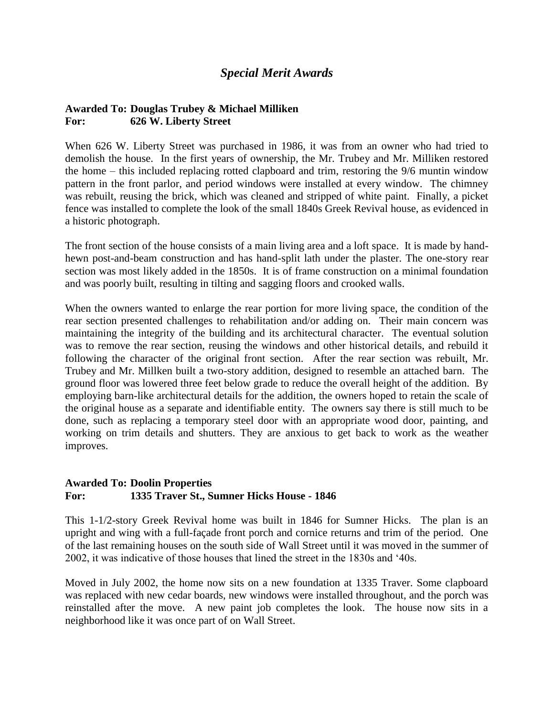# *Special Merit Awards*

#### **Awarded To: Douglas Trubey & Michael Milliken For: 626 W. Liberty Street**

When 626 W. Liberty Street was purchased in 1986, it was from an owner who had tried to demolish the house. In the first years of ownership, the Mr. Trubey and Mr. Milliken restored the home – this included replacing rotted clapboard and trim, restoring the 9/6 muntin window pattern in the front parlor, and period windows were installed at every window. The chimney was rebuilt, reusing the brick, which was cleaned and stripped of white paint. Finally, a picket fence was installed to complete the look of the small 1840s Greek Revival house, as evidenced in a historic photograph.

The front section of the house consists of a main living area and a loft space. It is made by handhewn post-and-beam construction and has hand-split lath under the plaster. The one-story rear section was most likely added in the 1850s. It is of frame construction on a minimal foundation and was poorly built, resulting in tilting and sagging floors and crooked walls.

When the owners wanted to enlarge the rear portion for more living space, the condition of the rear section presented challenges to rehabilitation and/or adding on. Their main concern was maintaining the integrity of the building and its architectural character. The eventual solution was to remove the rear section, reusing the windows and other historical details, and rebuild it following the character of the original front section. After the rear section was rebuilt, Mr. Trubey and Mr. Millken built a two-story addition, designed to resemble an attached barn. The ground floor was lowered three feet below grade to reduce the overall height of the addition. By employing barn-like architectural details for the addition, the owners hoped to retain the scale of the original house as a separate and identifiable entity. The owners say there is still much to be done, such as replacing a temporary steel door with an appropriate wood door, painting, and working on trim details and shutters. They are anxious to get back to work as the weather improves.

#### **Awarded To: Doolin Properties For: 1335 Traver St., Sumner Hicks House - 1846**

This 1-1/2-story Greek Revival home was built in 1846 for Sumner Hicks. The plan is an upright and wing with a full-façade front porch and cornice returns and trim of the period. One of the last remaining houses on the south side of Wall Street until it was moved in the summer of 2002, it was indicative of those houses that lined the street in the 1830s and '40s.

Moved in July 2002, the home now sits on a new foundation at 1335 Traver. Some clapboard was replaced with new cedar boards, new windows were installed throughout, and the porch was reinstalled after the move. A new paint job completes the look. The house now sits in a neighborhood like it was once part of on Wall Street.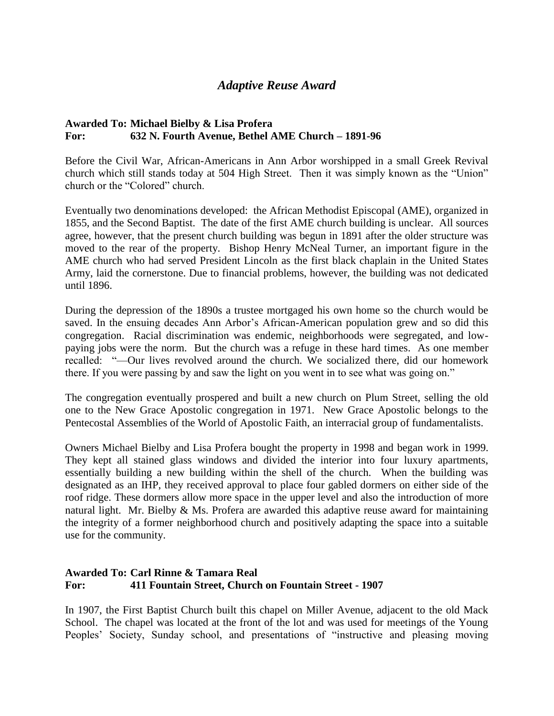# *Adaptive Reuse Award*

# **Awarded To: Michael Bielby & Lisa Profera For: 632 N. Fourth Avenue, Bethel AME Church – 1891-96**

Before the Civil War, African-Americans in Ann Arbor worshipped in a small Greek Revival church which still stands today at 504 High Street. Then it was simply known as the "Union" church or the "Colored" church.

Eventually two denominations developed: the African Methodist Episcopal (AME), organized in 1855, and the Second Baptist. The date of the first AME church building is unclear. All sources agree, however, that the present church building was begun in 1891 after the older structure was moved to the rear of the property. Bishop Henry McNeal Turner, an important figure in the AME church who had served President Lincoln as the first black chaplain in the United States Army, laid the cornerstone. Due to financial problems, however, the building was not dedicated until 1896.

During the depression of the 1890s a trustee mortgaged his own home so the church would be saved. In the ensuing decades Ann Arbor's African-American population grew and so did this congregation. Racial discrimination was endemic, neighborhoods were segregated, and lowpaying jobs were the norm. But the church was a refuge in these hard times. As one member recalled: "—Our lives revolved around the church. We socialized there, did our homework there. If you were passing by and saw the light on you went in to see what was going on."

The congregation eventually prospered and built a new church on Plum Street, selling the old one to the New Grace Apostolic congregation in 1971. New Grace Apostolic belongs to the Pentecostal Assemblies of the World of Apostolic Faith, an interracial group of fundamentalists.

Owners Michael Bielby and Lisa Profera bought the property in 1998 and began work in 1999. They kept all stained glass windows and divided the interior into four luxury apartments, essentially building a new building within the shell of the church. When the building was designated as an IHP, they received approval to place four gabled dormers on either side of the roof ridge. These dormers allow more space in the upper level and also the introduction of more natural light. Mr. Bielby & Ms. Profera are awarded this adaptive reuse award for maintaining the integrity of a former neighborhood church and positively adapting the space into a suitable use for the community.

### **Awarded To: Carl Rinne & Tamara Real For: 411 Fountain Street, Church on Fountain Street - 1907**

In 1907, the First Baptist Church built this chapel on Miller Avenue, adjacent to the old Mack School. The chapel was located at the front of the lot and was used for meetings of the Young Peoples' Society, Sunday school, and presentations of "instructive and pleasing moving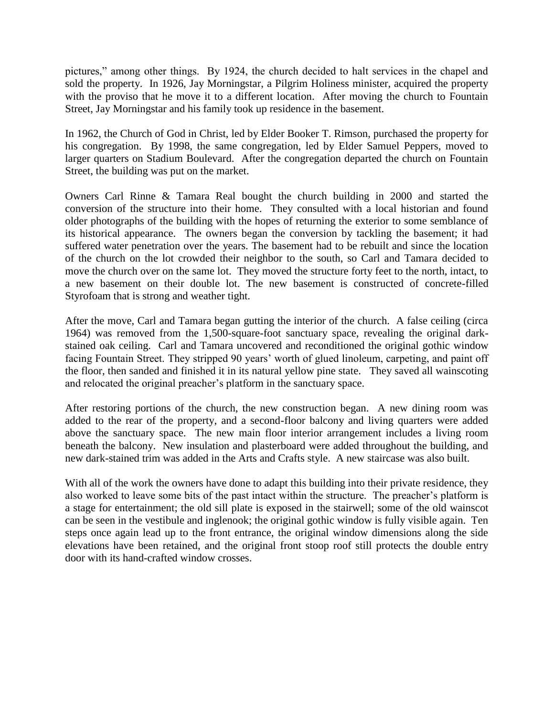pictures," among other things. By 1924, the church decided to halt services in the chapel and sold the property. In 1926, Jay Morningstar, a Pilgrim Holiness minister, acquired the property with the proviso that he move it to a different location. After moving the church to Fountain Street, Jay Morningstar and his family took up residence in the basement.

In 1962, the Church of God in Christ, led by Elder Booker T. Rimson, purchased the property for his congregation. By 1998, the same congregation, led by Elder Samuel Peppers, moved to larger quarters on Stadium Boulevard. After the congregation departed the church on Fountain Street, the building was put on the market.

Owners Carl Rinne & Tamara Real bought the church building in 2000 and started the conversion of the structure into their home. They consulted with a local historian and found older photographs of the building with the hopes of returning the exterior to some semblance of its historical appearance. The owners began the conversion by tackling the basement; it had suffered water penetration over the years. The basement had to be rebuilt and since the location of the church on the lot crowded their neighbor to the south, so Carl and Tamara decided to move the church over on the same lot. They moved the structure forty feet to the north, intact, to a new basement on their double lot. The new basement is constructed of concrete-filled Styrofoam that is strong and weather tight.

After the move, Carl and Tamara began gutting the interior of the church. A false ceiling (circa 1964) was removed from the 1,500-square-foot sanctuary space, revealing the original darkstained oak ceiling. Carl and Tamara uncovered and reconditioned the original gothic window facing Fountain Street. They stripped 90 years' worth of glued linoleum, carpeting, and paint off the floor, then sanded and finished it in its natural yellow pine state. They saved all wainscoting and relocated the original preacher's platform in the sanctuary space.

After restoring portions of the church, the new construction began. A new dining room was added to the rear of the property, and a second-floor balcony and living quarters were added above the sanctuary space. The new main floor interior arrangement includes a living room beneath the balcony. New insulation and plasterboard were added throughout the building, and new dark-stained trim was added in the Arts and Crafts style. A new staircase was also built.

With all of the work the owners have done to adapt this building into their private residence, they also worked to leave some bits of the past intact within the structure. The preacher's platform is a stage for entertainment; the old sill plate is exposed in the stairwell; some of the old wainscot can be seen in the vestibule and inglenook; the original gothic window is fully visible again. Ten steps once again lead up to the front entrance, the original window dimensions along the side elevations have been retained, and the original front stoop roof still protects the double entry door with its hand-crafted window crosses.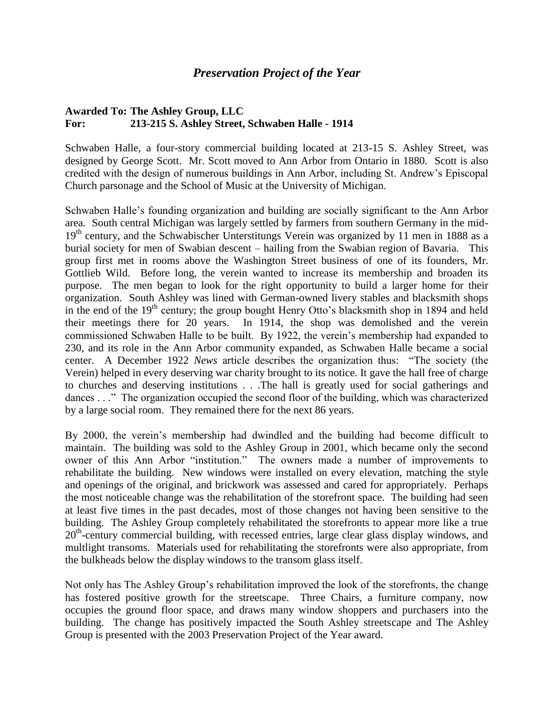## *Preservation Project of the Year*

### **Awarded To: The Ashley Group, LLC For: 213-215 S. Ashley Street, Schwaben Halle - 1914**

Schwaben Halle, a four-story commercial building located at 213-15 S. Ashley Street, was designed by George Scott. Mr. Scott moved to Ann Arbor from Ontario in 1880. Scott is also credited with the design of numerous buildings in Ann Arbor, including St. Andrew's Episcopal Church parsonage and the School of Music at the University of Michigan.

Schwaben Halle's founding organization and building are socially significant to the Ann Arbor area. South central Michigan was largely settled by farmers from southern Germany in the mid-19<sup>th</sup> century, and the Schwabischer Unterstitungs Verein was organized by 11 men in 1888 as a burial society for men of Swabian descent – hailing from the Swabian region of Bavaria. This group first met in rooms above the Washington Street business of one of its founders, Mr. Gottlieb Wild. Before long, the verein wanted to increase its membership and broaden its purpose. The men began to look for the right opportunity to build a larger home for their organization. South Ashley was lined with German-owned livery stables and blacksmith shops in the end of the 19<sup>th</sup> century; the group bought Henry Otto's blacksmith shop in 1894 and held their meetings there for 20 years. In 1914, the shop was demolished and the verein commissioned Schwaben Halle to be built. By 1922, the verein's membership had expanded to 230, and its role in the Ann Arbor community expanded, as Schwaben Halle became a social center. A December 1922 *News* article describes the organization thus: "The society (the Verein) helped in every deserving war charity brought to its notice. It gave the hall free of charge to churches and deserving institutions . . .The hall is greatly used for social gatherings and dances . . ." The organization occupied the second floor of the building, which was characterized by a large social room. They remained there for the next 86 years.

By 2000, the verein's membership had dwindled and the building had become difficult to maintain. The building was sold to the Ashley Group in 2001, which became only the second owner of this Ann Arbor "institution." The owners made a number of improvements to rehabilitate the building. New windows were installed on every elevation, matching the style and openings of the original, and brickwork was assessed and cared for appropriately. Perhaps the most noticeable change was the rehabilitation of the storefront space. The building had seen at least five times in the past decades, most of those changes not having been sensitive to the building. The Ashley Group completely rehabilitated the storefronts to appear more like a true 20<sup>th</sup>-century commercial building, with recessed entries, large clear glass display windows, and multlight transoms. Materials used for rehabilitating the storefronts were also appropriate, from the bulkheads below the display windows to the transom glass itself.

Not only has The Ashley Group's rehabilitation improved the look of the storefronts, the change has fostered positive growth for the streetscape. Three Chairs, a furniture company, now occupies the ground floor space, and draws many window shoppers and purchasers into the building. The change has positively impacted the South Ashley streetscape and The Ashley Group is presented with the 2003 Preservation Project of the Year award.